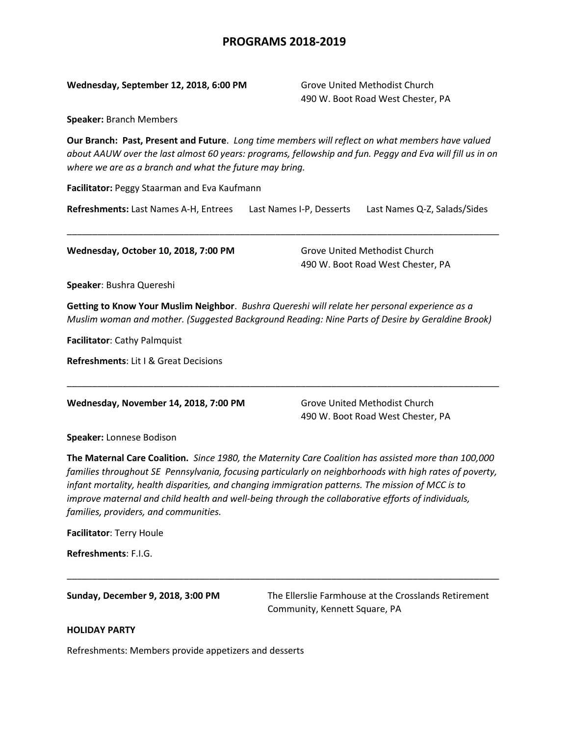## **PROGRAMS 2018-2019**

## **Wednesday, September 12, 2018, 6:00 PM** Grove United Methodist Church

490 W. Boot Road West Chester, PA

**Speaker:** Branch Members

**Our Branch: Past, Present and Future**. *Long time members will reflect on what members have valued about AAUW over the last almost 60 years: programs, fellowship and fun. Peggy and Eva will fill us in on where we are as a branch and what the future may bring.*

**Facilitator:** Peggy Staarman and Eva Kaufmann

**Refreshments:** Last Names A-H, Entrees Last Names I-P, Desserts Last Names Q-Z, Salads/Sides

\_\_\_\_\_\_\_\_\_\_\_\_\_\_\_\_\_\_\_\_\_\_\_\_\_\_\_\_\_\_\_\_\_\_\_\_\_\_\_\_\_\_\_\_\_\_\_\_\_\_\_\_\_\_\_\_\_\_\_\_\_\_\_\_\_\_\_\_\_\_\_\_\_\_\_\_\_\_\_\_\_\_\_\_\_

**Wednesday, October 10, 2018, 7:00 PM** Grove United Methodist Church

490 W. Boot Road West Chester, PA

**Speaker**: Bushra Quereshi

**Getting to Know Your Muslim Neighbor**. *Bushra Quereshi will relate her personal experience as a Muslim woman and mother. (Suggested Background Reading: Nine Parts of Desire by Geraldine Brook)*

\_\_\_\_\_\_\_\_\_\_\_\_\_\_\_\_\_\_\_\_\_\_\_\_\_\_\_\_\_\_\_\_\_\_\_\_\_\_\_\_\_\_\_\_\_\_\_\_\_\_\_\_\_\_\_\_\_\_\_\_\_\_\_\_\_\_\_\_\_\_\_\_\_\_\_\_\_\_\_\_\_\_\_\_\_

**Facilitator**: Cathy Palmquist

**Refreshments**: Lit I & Great Decisions

**Wednesday, November 14, 2018, 7:00 PM** Grove United Methodist Church

490 W. Boot Road West Chester, PA

**Speaker:** Lonnese Bodison

**The Maternal Care Coalition.** *Since 1980, the Maternity Care Coalition has assisted more than 100,000 families throughout SE Pennsylvania, focusing particularly on neighborhoods with high rates of poverty, infant mortality, health disparities, and changing immigration patterns. The mission of MCC is to improve maternal and child health and well-being through the collaborative efforts of individuals, families, providers, and communities.*

\_\_\_\_\_\_\_\_\_\_\_\_\_\_\_\_\_\_\_\_\_\_\_\_\_\_\_\_\_\_\_\_\_\_\_\_\_\_\_\_\_\_\_\_\_\_\_\_\_\_\_\_\_\_\_\_\_\_\_\_\_\_\_\_\_\_\_\_\_\_\_\_\_\_\_\_\_\_\_\_\_\_\_\_\_

**Facilitator**: Terry Houle

**Refreshments**: F.I.G.

**Sunday, December 9, 2018, 3:00 PM** The Ellerslie Farmhouse at the Crosslands Retirement Community, Kennett Square, PA

## **HOLIDAY PARTY**

Refreshments: Members provide appetizers and desserts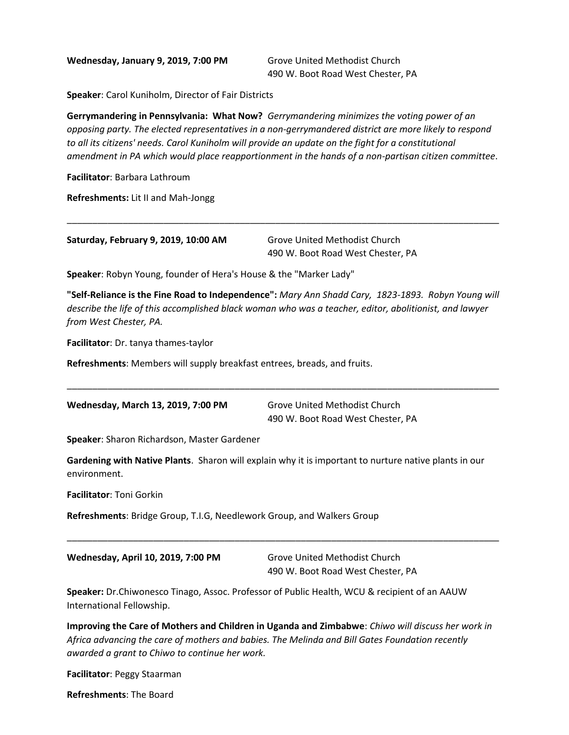**Wednesday, January 9, 2019, 7:00 PM** Grove United Methodist Church

490 W. Boot Road West Chester, PA

**Speaker**: Carol Kuniholm, Director of Fair Districts

**Gerrymandering in Pennsylvania: What Now?** *Gerrymandering minimizes the voting power of an opposing party. The elected representatives in a non-gerrymandered district are more likely to respond to all its citizens' needs. Carol Kuniholm will provide an update on the fight for a constitutional amendment in PA which would place reapportionment in the hands of a non-partisan citizen committee*.

\_\_\_\_\_\_\_\_\_\_\_\_\_\_\_\_\_\_\_\_\_\_\_\_\_\_\_\_\_\_\_\_\_\_\_\_\_\_\_\_\_\_\_\_\_\_\_\_\_\_\_\_\_\_\_\_\_\_\_\_\_\_\_\_\_\_\_\_\_\_\_\_\_\_\_\_\_\_\_\_\_\_\_\_\_

**Facilitator**: Barbara Lathroum

**Refreshments:** Lit II and Mah-Jongg

| Saturday, February 9, 2019, 10:00 AM | <b>Grove United Methodist Church</b> |
|--------------------------------------|--------------------------------------|
|                                      | 490 W. Boot Road West Chester, PA    |

**Speaker**: Robyn Young, founder of Hera's House & the "Marker Lady"

**"Self-Reliance is the Fine Road to Independence":** *Mary Ann Shadd Cary, 1823-1893. Robyn Young will describe the life of this accomplished black woman who was a teacher, editor, abolitionist, and lawyer from West Chester, PA.*

\_\_\_\_\_\_\_\_\_\_\_\_\_\_\_\_\_\_\_\_\_\_\_\_\_\_\_\_\_\_\_\_\_\_\_\_\_\_\_\_\_\_\_\_\_\_\_\_\_\_\_\_\_\_\_\_\_\_\_\_\_\_\_\_\_\_\_\_\_\_\_\_\_\_\_\_\_\_\_\_\_\_\_\_\_

**Facilitator**: Dr. tanya thames-taylor

**Refreshments**: Members will supply breakfast entrees, breads, and fruits.

| Wednesday, March 13, 2019, 7:00 PM | Grove United Methodist Church     |
|------------------------------------|-----------------------------------|
|                                    | 490 W. Boot Road West Chester, PA |

**Speaker**: Sharon Richardson, Master Gardener

**Gardening with Native Plants**. Sharon will explain why it is important to nurture native plants in our environment.

\_\_\_\_\_\_\_\_\_\_\_\_\_\_\_\_\_\_\_\_\_\_\_\_\_\_\_\_\_\_\_\_\_\_\_\_\_\_\_\_\_\_\_\_\_\_\_\_\_\_\_\_\_\_\_\_\_\_\_\_\_\_\_\_\_\_\_\_\_\_\_\_\_\_\_\_\_\_\_\_\_\_\_\_\_

**Facilitator**: Toni Gorkin

**Refreshments**: Bridge Group, T.I.G, Needlework Group, and Walkers Group

**Wednesday, April 10, 2019, 7:00 PM** Grove United Methodist Church

490 W. Boot Road West Chester, PA

**Speaker:** Dr.Chiwonesco Tinago, Assoc. Professor of Public Health, WCU & recipient of an AAUW International Fellowship.

**Improving the Care of Mothers and Children in Uganda and Zimbabwe**: *Chiwo will discuss her work in Africa advancing the care of mothers and babies. The Melinda and Bill Gates Foundation recently awarded a grant to Chiwo to continue her work.*

**Facilitator**: Peggy Staarman

**Refreshments**: The Board